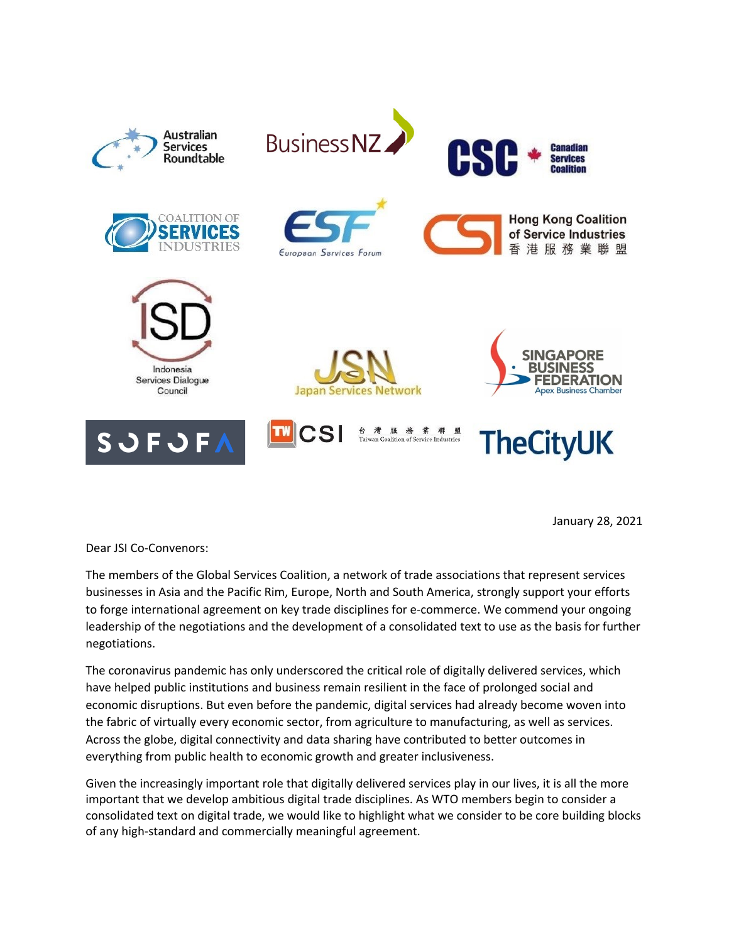

January 28, 2021

Dear JSI Co-Convenors:

The members of the Global Services Coalition, a network of trade associations that represent services businesses in Asia and the Pacific Rim, Europe, North and South America, strongly support your efforts to forge international agreement on key trade disciplines for e-commerce. We commend your ongoing leadership of the negotiations and the development of a consolidated text to use as the basis for further negotiations.

The coronavirus pandemic has only underscored the critical role of digitally delivered services, which have helped public institutions and business remain resilient in the face of prolonged social and economic disruptions. But even before the pandemic, digital services had already become woven into the fabric of virtually every economic sector, from agriculture to manufacturing, as well as services. Across the globe, digital connectivity and data sharing have contributed to better outcomes in everything from public health to economic growth and greater inclusiveness.

Given the increasingly important role that digitally delivered services play in our lives, it is all the more important that we develop ambitious digital trade disciplines. As WTO members begin to consider a consolidated text on digital trade, we would like to highlight what we consider to be core building blocks of any high-standard and commercially meaningful agreement.